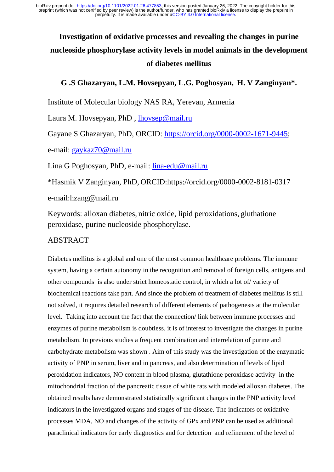# **Investigation of oxidative processes and revealing the changes in purine nucleoside phosphorylase activity levels in model animals in the development of diabetes mellitus**

# **G .S Ghazaryan, L.M. Hovsepyan, L.G. Poghosyan, H. V Zanginyan\*.**

Institute of Molecular biology NAS RA, Yerevan, Armenia

Laura M. Hovsepyan, PhD , [lhovsep@mail.ru](mailto:lhovsep@mail.ru)

Gayane S Ghazaryan, PhD, ORCID: [https://orcid.org/0000-0002-1671-9445;](https://orcid.org/0000-0002-1671-9445)

e-mail: [gaykaz70@mail.ru](mailto:gaykaz70@mail.ru)

Lina G Poghosyan, PhD, e-mail: [lina-edu@mail.ru](mailto:lina-edu@mail.ru)

\*Hasmik V Zanginyan, PhD, ORCID:https://orcid.org/0000-0002-8181-0317

e-mail:hzang@mail.ru

Keywords: alloxan diabetes, nitric oxide, lipid peroxidations, gluthatione peroxidase, purine nucleoside phosphorylase.

# ABSTRACT

Diabetes mellitus is a global and one of the most common healthcare problems. The immune system, having a certain autonomy in the recognition and removal of foreign cells, antigens and other compounds is also under strict homeostatic control, in which a lot of/ variety of biochemical reactions take part. And since the problem of treatment of diabetes mellitus is still not solved, it requires detailed research of different elements of pathogenesis at the molecular level. Taking into account the fact that the connection/ link between immune processes and enzymes of purine metabolism is doubtless, it is of interest to investigate the changes in purine metabolism. In previous studies a frequent combination and interrelation of purine and carbohydrate metabolism was shown . Aim of this study was the investigation of the enzymatic activity of PNP in serum, liver and in pancreas, and also determination of levels of lipid peroxidation indicators, NO content in blood plasma, glutathione peroxidase activity in the mitochondrial fraction of the pancreatic tissue of white rats with modeled alloxan diabetes. The obtained results have demonstrated statistically significant changes in the PNP activity level indicators in the investigated organs and stages of the disease. The indicators of oxidative processes MDA, NO and changes of the activity of GPx and PNP can be used as additional paraclinical indicators for early diagnostics and for detection and refinement of the level of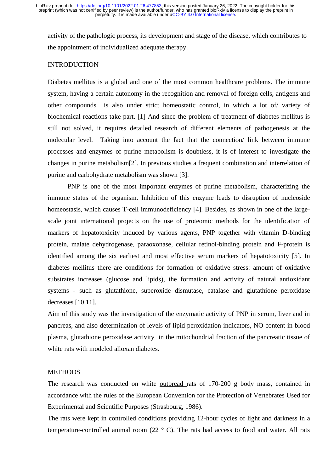activity of the pathologic process, its development and stage of the disease, which contributes to the appointment of individualized adequate therapy.

### **INTRODUCTION**

Diabetes mellitus is a global and one of the most common healthcare problems. The immune system, having a certain autonomy in the recognition and removal of foreign cells, antigens and other compounds is also under strict homeostatic control, in which a lot of/ variety of biochemical reactions take part. [1] And since the problem of treatment of diabetes mellitus is still not solved, it requires detailed research of different elements of pathogenesis at the molecular level. Taking into account the fact that the connection/ link between immune processes and enzymes of purine metabolism is doubtless, it is of interest to investigate the changes in purine metabolism[2]. In previous studies a frequent combination and interrelation of purine and carbohydrate metabolism was shown [3].

PNP is one of the most important enzymes of purine metabolism, characterizing the immune status of the organism. Inhibition of this enzyme leads to disruption of nucleoside homeostasis, which causes T-cell immunodeficiency [4]. Besides, as shown in one of the largescale joint international projects on the use of proteomic methods for the identification of markers of hepatotoxicity induced by various agents, PNP together with vitamin D-binding protein, malate dehydrogenase, paraoxonase, cellular retinol-binding protein and F-protein is identified among the six earliest and most effective serum markers of hepatotoxicity [5]. In diabetes mellitus there are conditions for formation of oxidative stress: amount of oxidative substrates increases (glucose and lipids), the formation and activity of natural antioxidant systems - such as glutathione, superoxide dismutase, catalase and glutathione peroxidase decreases [10,11].

Aim of this study was the investigation of the enzymatic activity of PNP in serum, liver and in pancreas, and also determination of levels of lipid peroxidation indicators, NO content in blood plasma, glutathione peroxidase activity in the mitochondrial fraction of the pancreatic tissue of white rats with modeled alloxan diabetes.

#### **METHODS**

The research was conducted on white outbread rats of 170-200 g body mass, contained in accordance with the rules of the European Convention for the Protection of Vertebrates Used for Experimental and Scientific Purposes (Strasbourg, 1986).

The rats were kept in controlled conditions providing 12-hour cycles of light and darkness in a temperature-controlled animal room  $(22 \degree C)$ . The rats had access to food and water. All rats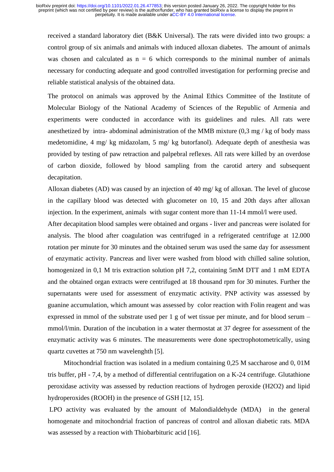received a standard laboratory diet (B&K Universal). The rats were divided into two groups: a control group of six animals and animals with induced alloxan diabetes. The amount of animals was chosen and calculated as  $n = 6$  which corresponds to the minimal number of animals necessary for conducting adequate and good controlled investigation for performing precise and reliable statistical analysis of the obtained data.

The protocol on animals was approved by the Animal Ethics Committee of the Institute of Molecular Biology of the National Academy of Sciences of the Republic of Armenia and experiments were conducted in accordance with its guidelines and rules. All rats were anesthetized by intra- abdominal administration of the MMB mixture  $(0,3 \text{ mg} / \text{kg}$  of body mass medetomidine, 4 mg/ kg midazolam, 5 mg/ kg butorfanol). Adequate depth of anesthesia was provided by testing of paw retraction and palpebral reflexes. All rats were killed by an overdose of carbon dioxide, followed by blood sampling from the carotid artery and subsequent decapitation.

Alloxan diabetes (AD) was caused by an injection of 40 mg/ kg of alloxan. The level of glucose in the capillary blood was detected with glucometer on 10, 15 and 20th days after alloxan injection. In the experiment, animals with sugar content more than 11-14 mmol/l were used.

After decapitation blood samples were obtained and organs - liver and pancreas were isolated for analysis. The blood after coagulation was centrifuged in a refrigerated centrifuge at 12.000 rotation per minute for 30 minutes and the obtained serum was used the same day for assessment of enzymatic activity. Pancreas and liver were washed from blood with chilled saline solution, homogenized in 0,1 M tris extraction solution pH 7,2, containing 5mM DTT and 1 mM EDTA and the obtained organ extracts were centrifuged at 18 thousand rpm for 30 minutes. Further the supernatants were used for assessment of enzymatic activity. PNP activity was assessed by guanine accumulation, which amount was assessed by color reaction with Folin reagent and was expressed in mmol of the substrate used per 1 g of wet tissue per minute, and for blood serum – mmol/l/min. Duration of the incubation in a water thermostat at 37 degree for assessment of the enzymatic activity was 6 minutes. The measurements were done spectrophotometrically, using quartz cuvettes at 750 nm wavelenghth [5].

Mitochondrial fraction was isolated in a medium containing 0,25 M saccharose and 0, 01M tris buffer, pH - 7,4, by a method of differential centrifugation on a K-24 centrifuge. Glutathione peroxidase activity was assessed by reduction reactions of hydrogen peroxide (H2O2) and lipid hydroperoxides (ROOH) in the presence of GSH [12, 15].

LPO activity was evaluated by the amount of Malondialdehyde (MDA) in the general homogenate and mitochondrial fraction of pancreas of control and alloxan diabetic rats. MDA was assessed by a reaction with Thiobarbituric acid [16].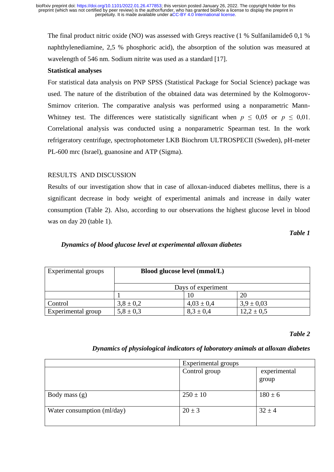The final product nitric oxide (NO) was assessed with Greys reactive (1 % Sulfanilamideб 0,1 % naphthylenediamine, 2,5 % phosphoric acid), the absorption of the solution was measured at wavelength of 546 nm. Sodium nitrite was used as a standard [17].

#### **Statistical analyses**

For statistical data analysis on PNP SPSS (Statistical Package for Social Science) package was used. The nature of the distribution of the obtained data was determined by the Kolmogorov-Smirnov criterion. The comparative analysis was performed using a nonparametric Mann-Whitney test. The differences were statistically significant when  $p \leq 0.05$  or  $p \leq 0.01$ . Correlational analysis was conducted using a nonparametric Spearman test. In the work refrigeratory centrifuge, spectrophotometer LKB Biochrom ULTROSPECII (Sweden), pH-meter PL-600 mrc (Israel), guanosine and ATP (Sigma).

# RESULTS AND DISCUSSION

Results of our investigation show that in case of alloxan-induced diabetes mellitus, there is a significant decrease in body weight of experimental animals and increase in daily water consumption (Table 2). Also, according to our observations the highest glucose level in blood was on day 20 (table 1).

*Table 1*

# *Dynamics of blood glucose level at experimental alloxan diabetes*

| Experimental groups | Blood glucose level (mmol/L) |                |                |  |
|---------------------|------------------------------|----------------|----------------|--|
|                     | Days of experiment           |                |                |  |
|                     |                              |                | 20             |  |
| Control             | $3,8 \pm 0.2$                | $4,03 \pm 0,4$ | $3.9 \pm 0.03$ |  |
| Experimental group  | $5,8 \pm 0,3$                | $8,3 \pm 0,4$  | $12,2 \pm 0.5$ |  |

#### *Table 2*

#### *Dynamics of physiological indicators of laboratory animals at alloxan diabetes*

|                            | Experimental groups |                       |
|----------------------------|---------------------|-----------------------|
|                            | Control group       | experimental<br>group |
| Body mass $(g)$            | $250 \pm 10$        | $180 \pm 6$           |
| Water consumption (ml/day) | $20 \pm 3$          | $32 \pm 4$            |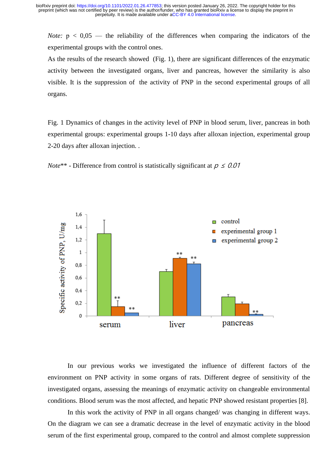*Note:*  $p < 0.05$  — the reliability of the differences when comparing the indicators of the experimental groups with the control ones.

As the results of the research showed (Fig. 1), there are significant differences of the enzymatic activity between the investigated organs, liver and pancreas, however the similarity is also visible. It is the suppression of the activity of PNP in the second experimental groups of all organs.

Fig. 1 Dynamics of changes in the activity level of PNP in blood serum, liver, pancreas in both experimental groups: experimental groups 1-10 days after alloxan injection, experimental group 2-20 days after alloxan injection. .





In our previous works we investigated the influence of different factors of the environment on PNP activity in some organs of rats. Different degree of sensitivity of the investigated organs, assessing the meanings of enzymatic activity on changeable environmental conditions. Blood serum was the most affected, and hepatic PNP showed resistant properties [8].

In this work the activity of PNP in all organs changed/ was changing in different ways. On the diagram we can see a dramatic decrease in the level of enzymatic activity in the blood serum of the first experimental group, compared to the control and almost complete suppression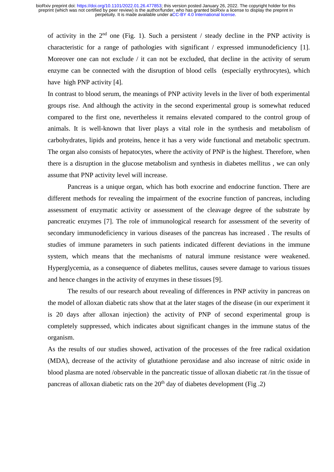of activity in the  $2<sup>nd</sup>$  one (Fig. 1). Such a persistent / steady decline in the PNP activity is characteristic for a range of pathologies with significant / expressed immunodeficiency [1]. Moreover one can not exclude / it can not be excluded, that decline in the activity of serum enzyme can be connected with the disruption of blood cells (especially erythrocytes), which have high PNP activity [4].

In contrast to blood serum, the meanings of PNP activity levels in the liver of both experimental groups rise. And although the activity in the second experimental group is somewhat reduced compared to the first one, nevertheless it remains elevated compared to the control group of animals. It is well-known that liver plays a vital role in the synthesis and metabolism of carbohydrates, lipids and proteins, hence it has a very wide functional and metabolic spectrum. The organ also consists of hepatocytes, where the activity of PNP is the highest. Therefore, when there is a disruption in the glucose metabolism and synthesis in diabetes mellitus , we can only assume that PNP activity level will increase.

Pancreas is a unique organ, which has both exocrine and endocrine function. There are different methods for revealing the impairment of the exocrine function of pancreas, including assessment of enzymatic activity or assessment of the cleavage degree of the substrate by pancreatic enzymes [7]. The role of immunological research for assessment of the severity of secondary immunodeficiency in various diseases of the pancreas has increased . The results of studies of immune parameters in such patients indicated different deviations in the immune system, which means that the mechanisms of natural immune resistance were weakened. Hyperglycemia, as a consequence of diabetes mellitus, causes severe damage to various tissues and hence changes in the activity of enzymes in these tissues [9].

The results of our research about revealing of differences in PNP activity in pancreas on the model of alloxan diabetic rats show that at the later stages of the disease (in our experiment it is 20 days after alloxan injection) the activity of PNP of second experimental group is completely suppressed, which indicates about significant changes in the immune status of the organism.

As the results of our studies showed, activation of the processes of the free radical oxidation (MDA), decrease of the activity of glutathione peroxidase and also increase of nitric oxide in blood plasma are noted /observable in the pancreatic tissue of alloxan diabetic rat /in the tissue of pancreas of alloxan diabetic rats on the  $20<sup>th</sup>$  day of diabetes development (Fig. 2)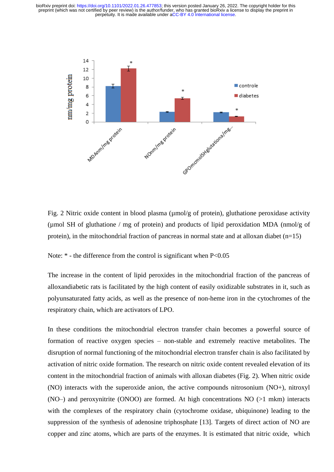

Fig. 2 Nitric oxide content in blood plasma (umol/g of protein), gluthatione peroxidase activity (µmol SH of gluthatione / mg of protein) and products of lipid peroxidation MDA (nmol/g of protein), in the mitochondrial fraction of pancreas in normal state and at alloxan diabet  $(n=15)$ 

Note:  $*$  - the difference from the control is significant when P<0.05

The increase in the content of lipid peroxides in the mitochondrial fraction of the pancreas of alloxandiabetic rats is facilitated by the high content of easily oxidizable substrates in it, such as polyunsaturated fatty acids, as well as the presence of non-heme iron in the cytochromes of the respiratory chain, which are activators of LPO.

In these conditions the mitochondrial electron transfer chain becomes a powerful source of formation of reactive oxygen species – non-stable and extremely reactive metabolites. The disruption of normal functioning of the mitochondrial electron transfer chain is also facilitated by activation of nitric oxide formation. The research on nitric oxide content revealed elevation of its content in the mitochondrial fraction of animals with alloxan diabetes (Fig. 2). When nitric oxide (NO) interacts with the superoxide anion, the active compounds nitrosonium (NO+), nitroxyl (NO–) and peroxynitrite (ONOO) are formed. At high concentrations NO (>1 mkm) interacts with the complexes of the respiratory chain (cytochrome oxidase, ubiquinone) leading to the suppression of the synthesis of adenosine triphosphate [13]. Targets of direct action of NO are copper and zinc atoms, which are parts of the enzymes. It is estimated that nitric oxide, which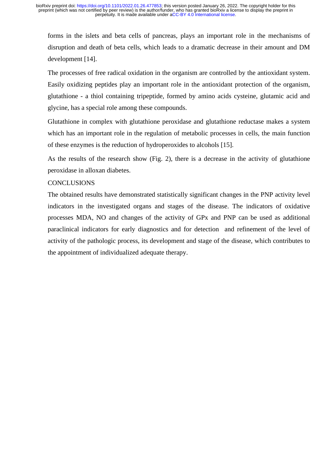forms in the islets and beta cells of pancreas, plays an important role in the mechanisms of disruption and death of beta cells, which leads to a dramatic decrease in their amount and DM development [14].

The processes of free radical oxidation in the organism are controlled by the antioxidant system. Easily oxidizing peptides play an important role in the antioxidant protection of the organism, glutathione - a thiol containing tripeptide, formed by amino acids cysteine, glutamic acid and glycine, has a special role among these compounds.

Glutathione in complex with glutathione peroxidase and glutathione reductase makes a system which has an important role in the regulation of metabolic processes in cells, the main function of these enzymes is the reduction of hydroperoxides to alcohols [15].

As the results of the research show (Fig. 2), there is a decrease in the activity of glutathione peroxidase in alloxan diabetes.

# **CONCLUSIONS**

The obtained results have demonstrated statistically significant changes in the PNP activity level indicators in the investigated organs and stages of the disease. The indicators of oxidative processes MDA, NO and changes of the activity of GPx and PNP can be used as additional paraclinical indicators for early diagnostics and for detection and refinement of the level of activity of the pathologic process, its development and stage of the disease, which contributes to the appointment of individualized adequate therapy.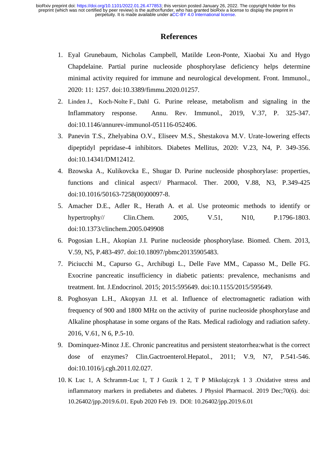# **References**

- 1. Eyal Grunebaum, Nicholas Campbell, Matilde Leon-Ponte, Xiaobai Xu and Hygo Chapdelaine. Partial purine nucleoside phosphorylase deficiency helps determine minimal activity required for immune and neurological development. Front. Immunol., 2020: 11: 1257. doi:10.3389/fimmu.2020.01257.
- 2. [Linden](https://pubmed.ncbi.nlm.nih.gov/?term=Linden+J&cauthor_id=30676821) J., [Koch-Nolte](https://pubmed.ncbi.nlm.nih.gov/?term=Koch-Nolte+F&cauthor_id=30676821) [F.,](https://pubmed.ncbi.nlm.nih.gov/30676821/#affiliation-3) [Dahl](https://pubmed.ncbi.nlm.nih.gov/?term=Dahl+G&cauthor_id=30676821) G. Purine release, metabolism and signaling in the Inflammatory response. Annu. Rev. Immunol., 2019, V.37, P. 325-347. doi:10.1146/annurev-immunol-051116-052406.
- 3. Panevin T.S., Zhelyabina O.V., Eliseev M.S., Shestakova M.V. Urate-lowering effects dipeptidyl pepridase-4 inhibitors. Diabetes Mellitus, 2020: V.23, N4, P. 349-356. doi:10.14341/DM12412.
- 4. Bzowska A., Kulikovcka E., Shugar D. Purine nucleoside phosphorylase: properties, functions and clinical aspect// Pharmacol. Ther. 2000, V.88, N3, P.349-425 doi:10.1016/50163-7258(00)00097-8.
- 5. Amacher D.E., Adler R., Herath A. et al. Use proteomic methods to identify or hypertrophy// Clin.Chem. 2005, V.51, N10, P.1796-1803. doi:10.1373/clinchem.2005.049908
- 6. Pogosian L.H., Akopian J.I. Purine nucleoside phosphorylase. Biomed. Chem. 2013, V.59, N5, P.483-497. doi:10.18097/pbmc20135905483.
- 7. Piciucchi M., Capurso G., Archibugi L., Delle Fave MM., Capasso M., Delle FG. Exocrine pancreatic insufficiency in diabetic patients: prevalence, mechanisms and treatment. Int. J.Endocrinol. 2015; 2015:595649. doi:10.1155/2015/595649.
- 8. Poghosyan L.H., Akopyan J.I. et al. Influence of electromagnetic radiation with frequency of 900 and 1800 MHz on the activity of purine nucleoside phosphorylase and Alkaline phosphatase in some organs of the Rats. Medical radiology and radiation safety. 2016, V.61, N 6, P.5-10.
- 9. Dominquez-Minoz J.E. Chronic pancreatitus and persistent steatorrhea:what is the correct dose of enzymes? Clin.Gactroenterol.Hepatol., 2011; V.9, N7, P.541-546. doi:10.1016/j.cgh.2011.02.027.
- 10. K Luc 1, A Schramm-Luc 1, T J Guzik 1 2, T P Mikolajczyk 1 3 .Oxidative stress and inflammatory markers in prediabetes and diabetes. J Physiol Pharmacol. 2019 Dec;70(6). doi: 10.26402/jpp.2019.6.01. Epub 2020 Feb 19. DOI: 10.26402/jpp.2019.6.01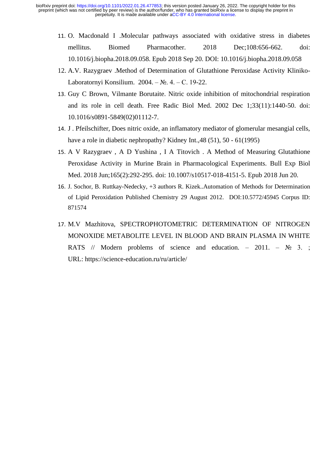- 11. O. Macdonald I .Molecular pathways associated with oxidative stress in diabetes mellitus. Biomed Pharmacother. 2018 Dec;108:656-662. doi: 10.1016/j.biopha.2018.09.058. Epub 2018 Sep 20. DOI: 10.1016/j.biopha.2018.09.058
- 12. A.V. Razygraev .Method of Determination of Glutathione Peroxidase Activity Kliniko-Laboratornyi Konsilium. 2004. – №. 4. – С. 19-22.
- 13. Guy C Brown, Vilmante Borutaite. Nitric oxide inhibition of mitochondrial respiration and its role in cell death. Free Radic Biol Med. 2002 Dec 1;33(11):1440-50. doi: 10.1016/s0891-5849(02)01112-7.
- 14. J . Pfeilschifter, Does nitric oxide, an inflamatory mediator of glomerular mesangial cells, have a role in diabetic nephropathy? Kidney Int.,48 (51), 50 - 61(1995)
- 15. A V Razygraev , A D Yushina , I A Titovich . A Method of Measuring Glutathione Peroxidase Activity in Murine Brain in Pharmacological Experiments. Bull Exp Biol Med. 2018 Jun;165(2):292-295. doi: 10.1007/s10517-018-4151-5. Epub 2018 Jun 20.
- 16. J. Sochor, B. Ruttkay-Nedecky, +3 authors R. Kizek..Automation of Methods for Determination of Lipid Peroxidation Published Chemistry 29 August 2012. DOI:10.5772/45945 Corpus ID: 871574
- 17. M.V Mazhitova, SPECTROPHOTOMETRIC DETERMINATION OF NITROGEN MONOXIDE METABOLITE LEVEL IN BLOOD AND BRAIN PLASMA IN WHITE RATS // Modern problems of science and education. – 2011. –  $\mathbb{N}_2$  3.; URL: https://science-education.ru/ru/article/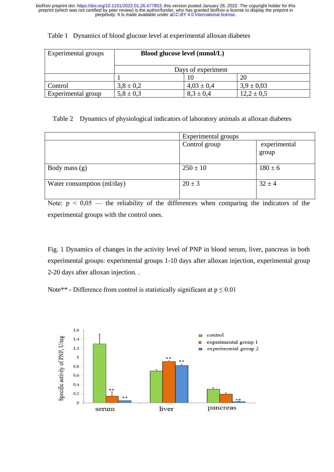| Experimental groups | Blood glucose level (mmol/L) |                |                |  |
|---------------------|------------------------------|----------------|----------------|--|
|                     | Days of experiment           |                |                |  |
|                     |                              |                | 20             |  |
| Control             | $3,8 \pm 0.2$                | $4.03 \pm 0.4$ | $3.9 \pm 0.03$ |  |
| Experimental group  | $5,8 \pm 0,3$                | $8.3 \pm 0.4$  | $12.2 \pm 0.5$ |  |

#### Table 1 Dynamics of blood glucose level at experimental alloxan diabetes

Table 2 Dynamics of physiological indicators of laboratory animals at alloxan diabetes

|                            | Experimental groups |                       |
|----------------------------|---------------------|-----------------------|
|                            | Control group       | experimental<br>group |
| Body mass $(g)$            | $250 \pm 10$        | $180 \pm 6$           |
| Water consumption (ml/day) | $20 \pm 3$          | $32 \pm 4$            |

Note:  $p \leq 0.05$  — the reliability of the differences when comparing the indicators of the experimental groups with the control ones.

Fig. 1 Dynamics of changes in the activity level of PNP in blood serum, liver, pancreas in both experimental groups: experimental groups 1-10 days after alloxan injection, experimental group 2-20 days after alloxan injection. .

Note\*\* - Difference from control is statistically significant at  $p \le 0.01$ 

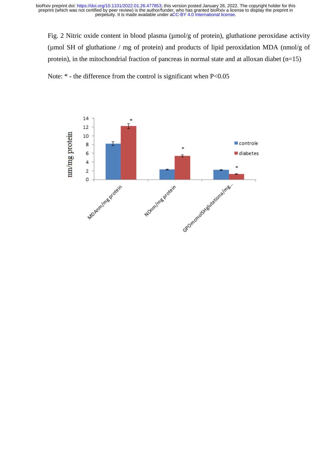Fig. 2 Nitric oxide content in blood plasma (umol/g of protein), gluthatione peroxidase activity (µmol SH of gluthatione / mg of protein) and products of lipid peroxidation MDA (nmol/g of protein), in the mitochondrial fraction of pancreas in normal state and at alloxan diabet  $(n=15)$ 

Note:  $*$  - the difference from the control is significant when P<0.05

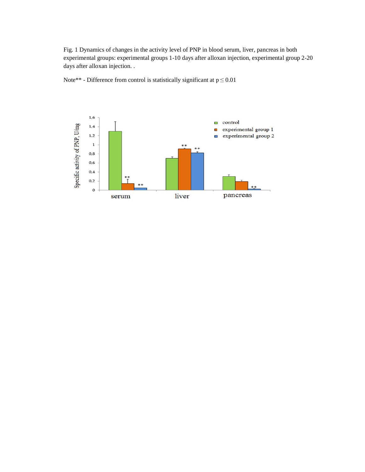Fig. 1 Dynamics of changes in the activity level of PNP in blood serum, liver, pancreas in both experimental groups: experimental groups 1-10 days after alloxan injection, experimental group 2-20 days after alloxan injection. .

Note\*\* - Difference from control is statistically significant at  $p \le 0.01$